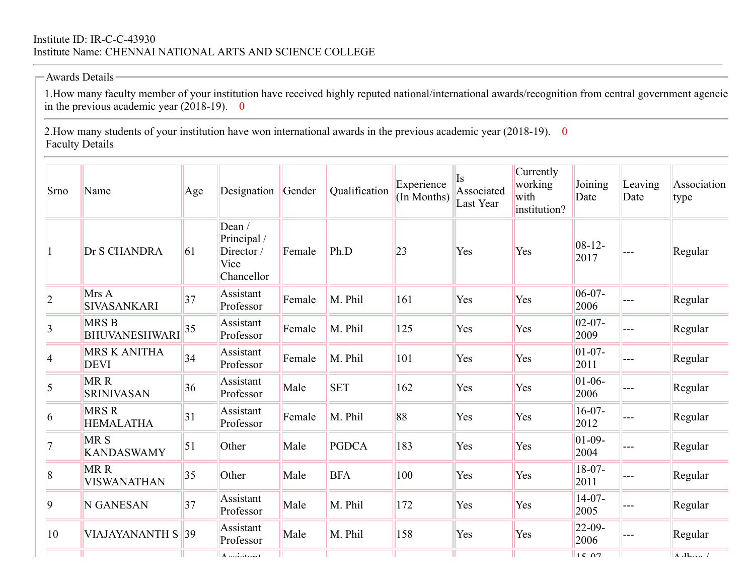## Institute ID: IR-C-C-43930 Institute Name: CHENNAI NATIONAL ARTS AND SCIENCE COLLEGE

## $-$ Awards Details $-$

in the previous academic year  $(2018-19)$ . 0 1.How many faculty member of your institution have received highly reputed national/international awards/recognition from central government agencie

2. How many students of your institution have won international awards in the previous academic year (2018-19). 0 Faculty Details

| Srno            | Name                                 | Age | Designation                                              | Gender | Qualification | Experience<br>(In Months) | Is<br>Associated<br>Last Year | Currently<br>working<br>with<br>institution? | Joining<br>Date     | Leaving<br>Date | Association<br>type          |
|-----------------|--------------------------------------|-----|----------------------------------------------------------|--------|---------------|---------------------------|-------------------------------|----------------------------------------------|---------------------|-----------------|------------------------------|
| $\vert$ 1       | Dr S CHANDRA                         | 61  | Dean/<br>Principal /<br>Director /<br>Vice<br>Chancellor | Female | Ph.D          | 23                        | Yes                           | Yes                                          | $08-12-$<br>2017    |                 | Regular                      |
| $ 2\rangle$     | Mrs A<br>SIVASANKARI                 | 37  | Assistant<br>Professor                                   | Female | M. Phil       | 161                       | Yes                           | Yes                                          | $06-07-$<br>2006    |                 | Regular                      |
| 3               | <b>MRSB</b><br><b>BHUVANESHWARI</b>  | 35  | Assistant<br>Professor                                   | Female | M. Phil       | 125                       | Yes                           | Yes                                          | $02 - 07 -$<br>2009 |                 | Regular                      |
| $\vert 4$       | <b>MRS K ANITHA</b><br><b>DEVI</b>   | 34  | Assistant<br>Professor                                   | Female | M. Phil       | 101                       | Yes                           | Yes                                          | $01-07-$<br>2011    |                 | Regular                      |
| $\vert$ 5       | MRR<br><b>SRINIVASAN</b>             | 36  | Assistant<br>Professor                                   | Male   | <b>SET</b>    | 162                       | Yes                           | Yes                                          | $01 - 06 -$<br>2006 |                 | Regular                      |
| $\vert 6 \vert$ | <b>MRSR</b><br><b>HEMALATHA</b>      | 31  | Assistant<br>Professor                                   | Female | M. Phil       | 88                        | Yes                           | Yes                                          | $16-07-$<br>2012    |                 | Regular                      |
| $\overline{7}$  | MR <sub>S</sub><br><b>KANDASWAMY</b> | 51  | Other                                                    | Male   | <b>PGDCA</b>  | 183                       | Yes                           | Yes                                          | $01-09-$<br>2004    | ---             | Regular                      |
| $\vert 8$       | MRR<br><b>VISWANATHAN</b>            | 35  | Other                                                    | Male   | <b>BFA</b>    | 100                       | Yes                           | Yes                                          | $18-07-$<br>2011    |                 | Regular                      |
| $\overline{9}$  | N GANESAN                            | 37  | Assistant<br>Professor                                   | Male   | M. Phil       | 172                       | Yes                           | Yes                                          | $14-07-$<br>2005    |                 | Regular                      |
| 10              | VIAJAYANANTH S                       | 39  | Assistant<br>Professor                                   | Male   | M. Phil       | 158                       | Yes                           | Yes                                          | $22 - 09$<br>2006   |                 | Regular                      |
|                 |                                      |     | $A$ cointant                                             |        |               |                           |                               |                                              | 15.07               |                 | $\Delta$ $d$ $h$ $a$ $a$ $l$ |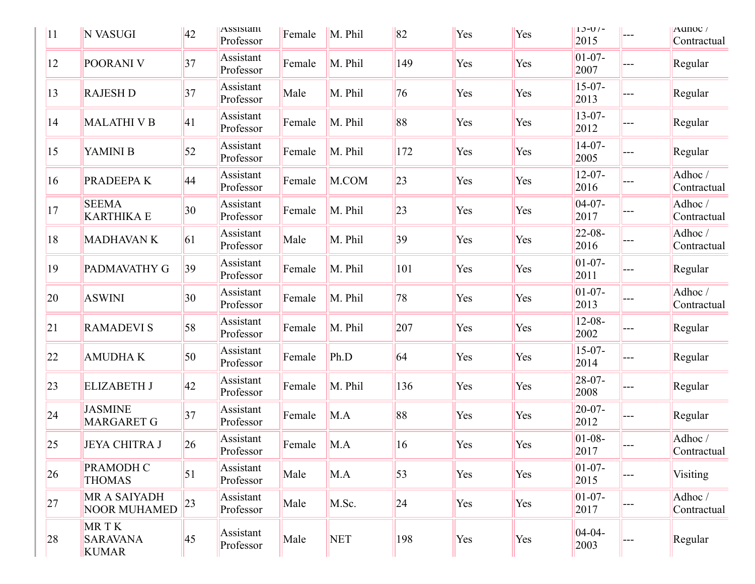| 11            | N VASUGI                                | 42              | ASSIStant<br>Professor | Female | M. Phil    | 82            | Yes | Yes | $1J-U/-$<br>2015    | $---$ | Aunoc /<br>Contractual |
|---------------|-----------------------------------------|-----------------|------------------------|--------|------------|---------------|-----|-----|---------------------|-------|------------------------|
| <sup>12</sup> | POORANI V                               | 37              | Assistant<br>Professor | Female | M. Phil    | 149           | Yes | Yes | $01-07-$<br>2007    |       | Regular                |
| 13            | <b>RAJESH D</b>                         | 37              | Assistant<br>Professor | Male   | M. Phil    | 76            | Yes | Yes | $15-07-$<br>2013    |       | Regular                |
| 14            | <b>MALATHI V B</b>                      | 41              | Assistant<br>Professor | Female | M. Phil    | 88            | Yes | Yes | $13 - 07 -$<br>2012 |       | Regular                |
| 15            | YAMINI B                                | 52              | Assistant<br>Professor | Female | M. Phil    | 172           | Yes | Yes | $14-07-$<br>2005    |       | Regular                |
| $ 16\rangle$  | PRADEEPAK                               | 44              | Assistant<br>Professor | Female | M.COM      | 23            | Yes | Yes | $12 - 07 -$<br>2016 |       | Adhoc/<br>Contractual  |
| 17            | <b>SEEMA</b><br><b>KARTHIKA E</b>       | 30 <sup>°</sup> | Assistant<br>Professor | Female | M. Phil    | 23            | Yes | Yes | $04-07-$<br>2017    |       | Adhoc/<br>Contractual  |
| 18            | <b>MADHAVANK</b>                        | 61              | Assistant<br>Professor | Male   | M. Phil    | 39            | Yes | Yes | $22 - 08 -$<br>2016 |       | Adhoc/<br>Contractual  |
| 19            | PADMAVATHY G                            | 39              | Assistant<br>Professor | Female | M. Phil    | 101           | Yes | Yes | $01-07-$<br>2011    |       | Regular                |
| <b>20</b>     | <b>ASWINI</b>                           | 30 <sup>°</sup> | Assistant<br>Professor | Female | M. Phil    | 78            | Yes | Yes | $01-07-$<br>2013    |       | Adhoc/<br>Contractual  |
| 21            | <b>RAMADEVI S</b>                       | 58              | Assistant<br>Professor | Female | M. Phil    | 207           | Yes | Yes | $12 - 08 -$<br>2002 |       | Regular                |
| 22            | <b>AMUDHAK</b>                          | 50              | Assistant<br>Professor | Female | Ph.D       | 64            | Yes | Yes | $15-07-$<br>2014    |       | Regular                |
| 23            | <b>ELIZABETH J</b>                      | 42              | Assistant<br>Professor | Female | M. Phil    | 136           | Yes | Yes | $28-07-$<br>2008    |       | Regular                |
| 24            | <b>JASMINE</b><br><b>MARGARET G</b>     | 37              | Assistant<br>Professor | Female | M.A        | 88            | Yes | Yes | $20 - 07 -$<br>2012 |       | Regular                |
| 25            | <b>JEYA CHITRA J</b>                    | 26              | Assistant<br>Professor | Female | M.A        | <sup>16</sup> | Yes | Yes | $01 - 08 -$<br>2017 |       | Adhoc/<br>Contractual  |
| 26            | <b>PRAMODH C</b><br><b>THOMAS</b>       | 51              | Assistant<br>Professor | Male   | M.A        | 53            | Yes | Yes | $01-07-$<br>2015    |       | Visiting               |
| 27            | MR A SAIYADH<br><b>NOOR MUHAMED</b>     | 23              | Assistant<br>Professor | Male   | M.Sc.      | 24            | Yes | Yes | $01 - 07 -$<br>2017 |       | Adhoc/<br>Contractual  |
| 28            | MRTK<br><b>SARAVANA</b><br><b>KUMAR</b> | 45              | Assistant<br>Professor | Male   | <b>NET</b> | 198           | Yes | Yes | $04 - 04 -$<br>2003 |       | Regular                |